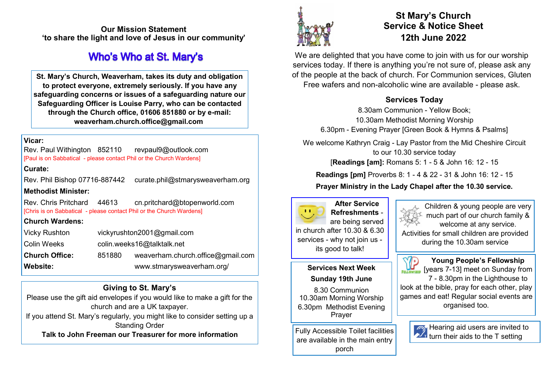**Our Mission Statement 'to share the light and love of Jesus in our community'** 

# **Who's Who at St. Mary's**

**St. Mary's Church, Weaverham, takes its duty and obligation to protect everyone, extremely seriously. If you have any safeguarding concerns or issues of a safeguarding nature our Safeguarding Officer is Louise Parry, who can be contacted through the Church office, 01606 851880 or by e-mail: weaverham.church.office@gmail.com**

#### **Vicar:**

Rev. Paul Withington 852110 revpaul9@outlook.com [Paul is on Sabbatical - please contact Phil or the Church Wardens]

#### **Curate:**

Rev. Phil Bishop 07716-887442 curate.phil@stmarysweaverham.org **Methodist Minister:**

Rev. Chris Pritchard 44613 cn.pritchard@btopenworld.com [Chris is on Sabbatical - please contact Phil or the Church Wardens]

#### **Church Wardens:**

| <b>Vicky Rushton</b>  | vickyrushton2001@gmail.com |                                   |
|-----------------------|----------------------------|-----------------------------------|
| Colin Weeks           | colin.weeks16@talktalk.net |                                   |
| <b>Church Office:</b> | 851880                     | weaverham.church.office@gmail.com |
| <b>Website:</b>       |                            | www.stmarysweaverham.org/         |

## **Giving to St. Mary's**

Please use the gift aid envelopes if you would like to make a gift for the church and are a UK taxpayer.

If you attend St. Mary's regularly, you might like to consider setting up a Standing Order

**Talk to John Freeman our Treasurer for more information**



# **St Mary's Church Service & Notice Sheet 12th June 2022**

We are delighted that you have come to join with us for our worship services today. If there is anything you're not sure of, please ask any of the people at the back of church. For Communion services, Gluten Free wafers and non-alcoholic wine are available - please ask.

## **Services Today**

8.30am Communion - Yellow Book; 10.30am Methodist Morning Worship 6.30pm - Evening Prayer [Green Book & Hymns & Psalms]

We welcome Kathryn Craig - Lay Pastor from the Mid Cheshire Circuit to our 10.30 service today

[**Readings [am]:** Romans 5: 1 - 5 & John 16: 12 - 15

**Readings [pm]** Proverbs 8: 1 - 4 & 22 - 31 & John 16: 12 - 15

## **Prayer Ministry in the Lady Chapel after the 10.30 service.**



**After Service Refreshments** are being served in church after 10.30 & 6.30 services - why not join us its good to talk!

#### **Services Next Week Sunday 19th June**

8.30 Communion 10.30am Morning Worship 6.30pm Methodist Evening Prayer

Fully Accessible Toilet facilities are available in the main entry porch

Children & young people are very much part of our church family & welcome at any service. Activities for small children are provided during the 10.30am service

**Young People's Fellowship**   $\mathbb{U}$ <sub>FELLOWINID</sub> [years 7-13] meet on Sunday from 7 - 8.30pm in the Lighthouse to look at the bible, pray for each other, play games and eat! Regular social events are organised too.



Hearing aid users are invited to turn their aids to the T setting